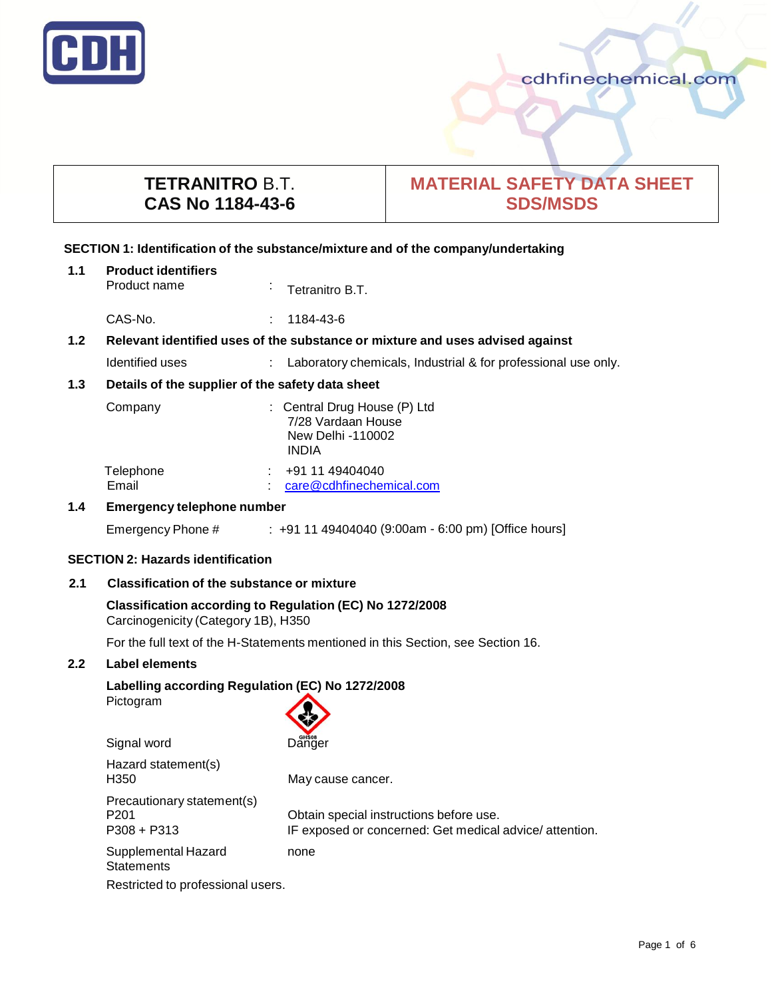

cdhfinechemical.com

# **TETRANITRO** B.T. **CAS No 1184-43-6**

# **MATERIAL SAFETY DATA SHEET SDS/MSDS**

### **SECTION 1: Identification of the substance/mixture and of the company/undertaking**

| 1.1                                                                                               | <b>Product identifiers</b><br>Product name       | ÷ | Tetranitro B.T.                                                                         |  |  |
|---------------------------------------------------------------------------------------------------|--------------------------------------------------|---|-----------------------------------------------------------------------------------------|--|--|
|                                                                                                   | CAS-No.                                          |   | 1184-43-6                                                                               |  |  |
| Relevant identified uses of the substance or mixture and uses advised against<br>1.2 <sub>2</sub> |                                                  |   |                                                                                         |  |  |
|                                                                                                   | Identified uses                                  |   | : Laboratory chemicals, Industrial & for professional use only.                         |  |  |
| 1.3                                                                                               | Details of the supplier of the safety data sheet |   |                                                                                         |  |  |
|                                                                                                   | Company                                          |   | : Central Drug House (P) Ltd<br>7/28 Vardaan House<br>New Delhi -110002<br><b>INDIA</b> |  |  |
|                                                                                                   | Telephone<br>Email                               |   | $\div$ +91 11 49404040<br>care@cdhfinechemical.com                                      |  |  |
| $1.4^{\circ}$                                                                                     | <b>Emergency telephone number</b>                |   |                                                                                         |  |  |
|                                                                                                   | Emergency Phone #                                |   | $\pm$ +91 11 49404040 (9:00am - 6:00 pm) [Office hours]                                 |  |  |
| <b>SECTION 2: Hazards identification</b>                                                          |                                                  |   |                                                                                         |  |  |

# **2.1 Classification of the substance or mixture**

# **Classification according to Regulation (EC) No 1272/2008** Carcinogenicity (Category 1B), H350

For the full text of the H-Statements mentioned in this Section, see Section 16.

# **2.2 Label elements**

### **Labelling according Regulation (EC) No 1272/2008** Pictogram



| Hazard statement(s)<br>H350                                     | May cause cancer.                                                                                 |  |  |  |
|-----------------------------------------------------------------|---------------------------------------------------------------------------------------------------|--|--|--|
| Precautionary statement(s)<br>P <sub>201</sub><br>$P308 + P313$ | Obtain special instructions before use.<br>IF exposed or concerned: Get medical advice/attention. |  |  |  |
| Supplemental Hazard<br><b>Statements</b>                        | none                                                                                              |  |  |  |
| Restricted to professional users.                               |                                                                                                   |  |  |  |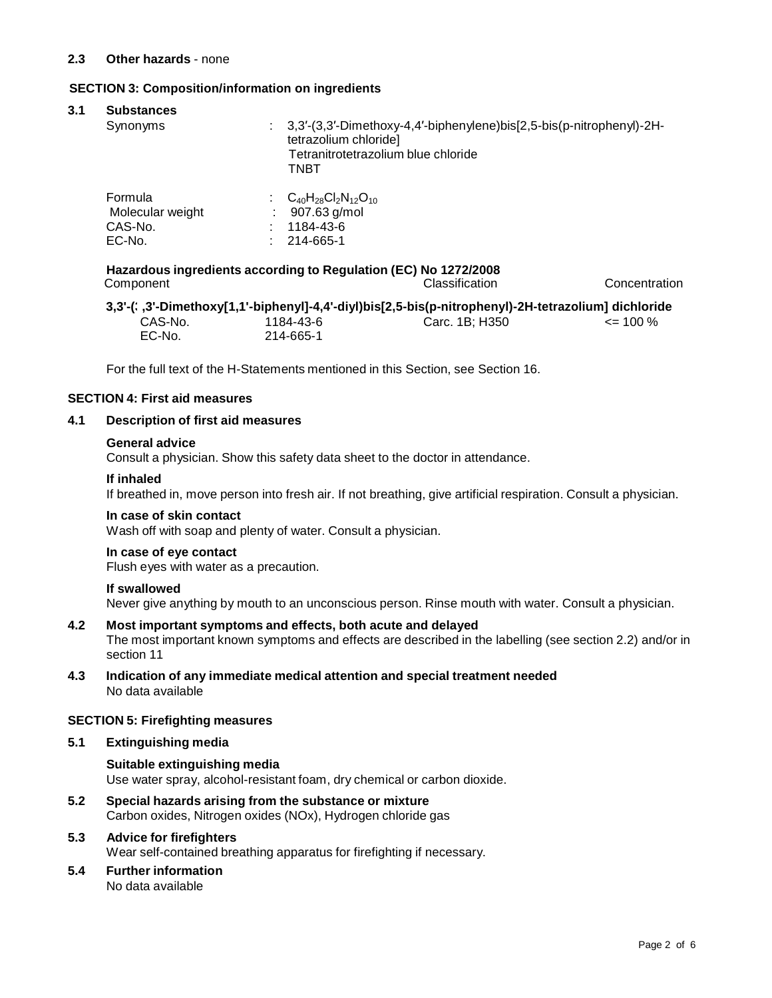#### **SECTION 3: Composition/information on ingredients**

| <b>Substances</b><br>Synonyms |  | 3,3'-(3,3'-Dimethoxy-4,4'-biphenylene)bis[2,5-bis(p-nitrophenyl)-2H- |  |
|-------------------------------|--|----------------------------------------------------------------------|--|
|                               |  | tetrazolium chloride]                                                |  |
|                               |  | Tetranitrotetrazolium blue chloride                                  |  |
|                               |  | TNBT                                                                 |  |
| Formula                       |  | $C_{40}H_{28}Cl_{2}N_{12}O_{10}$                                     |  |
| Molecular weight              |  | 907.63 g/mol                                                         |  |
| CAS-No.                       |  | 1184-43-6                                                            |  |
| EC-No.                        |  | 214-665-1                                                            |  |

Component Classification Concentration

**3,3'-(3,3'-Dimethoxy[1,1'-b iphenyl]-4,4'-diyl)bis[2,5-bis(p-nitrophenyl)-2H-tetrazolium] dichloride** CAS-No. EC-No. 1184-43-6 214-665-1 Carc. 1B; H350 <= 100 %

For the full text of the H-Statements mentioned in this Section, see Section 16.

# **SECTION 4: First aid measures**

# **4.1 Description of first aid measures**

#### **General advice**

Consult a physician. Show this safety data sheet to the doctor in attendance.

#### **If inhaled**

If breathed in, move person into fresh air. If not breathing, give artificial respiration. Consult a physician.

#### **In case of skin contact**

Wash off with soap and plenty of water. Consult a physician.

#### **In case of eye contact**

Flush eyes with water as a precaution.

#### **If swallowed**

Never give anything by mouth to an unconscious person. Rinse mouth with water. Consult a physician.

# **4.2 Most important symptoms and effects, both acute and delayed**

The most important known symptoms and effects are described in the labelling (see section 2.2) and/or in section 11

**4.3 Indication of any immediate medical attention and special treatment needed** No data available

#### **SECTION 5: Firefighting measures**

#### **5.1 Extinguishing media**

# **Suitable extinguishing media** Use water spray, alcohol-resistant foam, dry chemical or carbon dioxide.

**5.2 Special hazards arising from the substance or mixture** Carbon oxides, Nitrogen oxides (NOx), Hydrogen chloride gas

# **5.3 Advice for firefighters**

Wear self-contained breathing apparatus for firefighting if necessary.

**5.4 Further information** No data available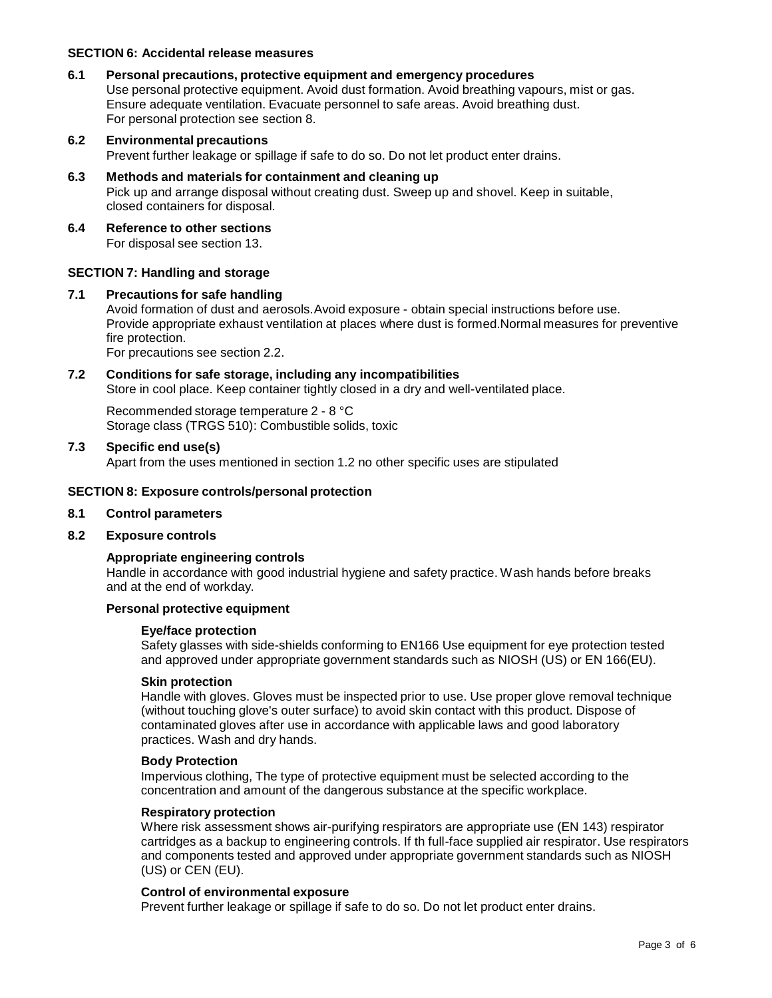#### **SECTION 6: Accidental release measures**

#### **6.1 Personal precautions, protective equipment and emergency procedures**

Use personal protective equipment. Avoid dust formation. Avoid breathing vapours, mist or gas. Ensure adequate ventilation. Evacuate personnel to safe areas. Avoid breathing dust. For personal protection see section 8.

# **6.2 Environmental precautions** Prevent further leakage or spillage if safe to do so. Do not let product enter drains.

# **6.3 Methods and materials for containment and cleaning up** Pick up and arrange disposal without creating dust. Sweep up and shovel. Keep in suitable, closed containers for disposal.

**6.4 Reference to other sections** For disposal see section 13.

#### **SECTION 7: Handling and storage**

#### **7.1 Precautions for safe handling**

Avoid formation of dust and aerosols.Avoid exposure - obtain special instructions before use. Provide appropriate exhaust ventilation at places where dust is formed.Normal measures for preventive fire protection.

For precautions see section 2.2.

#### **7.2 Conditions for safe storage, including any incompatibilities**

Store in cool place. Keep container tightly closed in a dry and well-ventilated place.

Recommended storage temperature 2 - 8 °C Storage class (TRGS 510): Combustible solids, toxic

#### **7.3 Specific end use(s)**

Apart from the uses mentioned in section 1.2 no other specific uses are stipulated

#### **SECTION 8: Exposure controls/personal protection**

#### **8.1 Control parameters**

#### **8.2 Exposure controls**

#### **Appropriate engineering controls**

Handle in accordance with good industrial hygiene and safety practice. Wash hands before breaks and at the end of workday.

#### **Personal protective equipment**

#### **Eye/face protection**

Safety glasses with side-shields conforming to EN166 Use equipment for eye protection tested and approved under appropriate government standards such as NIOSH (US) or EN 166(EU).

#### **Skin protection**

Handle with gloves. Gloves must be inspected prior to use. Use proper glove removal technique (without touching glove's outer surface) to avoid skin contact with this product. Dispose of contaminated gloves after use in accordance with applicable laws and good laboratory practices. Wash and dry hands.

#### **Body Protection**

Impervious clothing, The type of protective equipment must be selected according to the concentration and amount of the dangerous substance at the specific workplace.

#### **Respiratory protection**

Where risk assessment shows air-purifying respirators are appropriate use (EN 143) respirator cartridges as a backup to engineering controls. If th full-face supplied air respirator. Use respirators and components tested and approved under appropriate government standards such as NIOSH (US) or CEN (EU).

#### **Control of environmental exposure**

Prevent further leakage or spillage if safe to do so. Do not let product enter drains.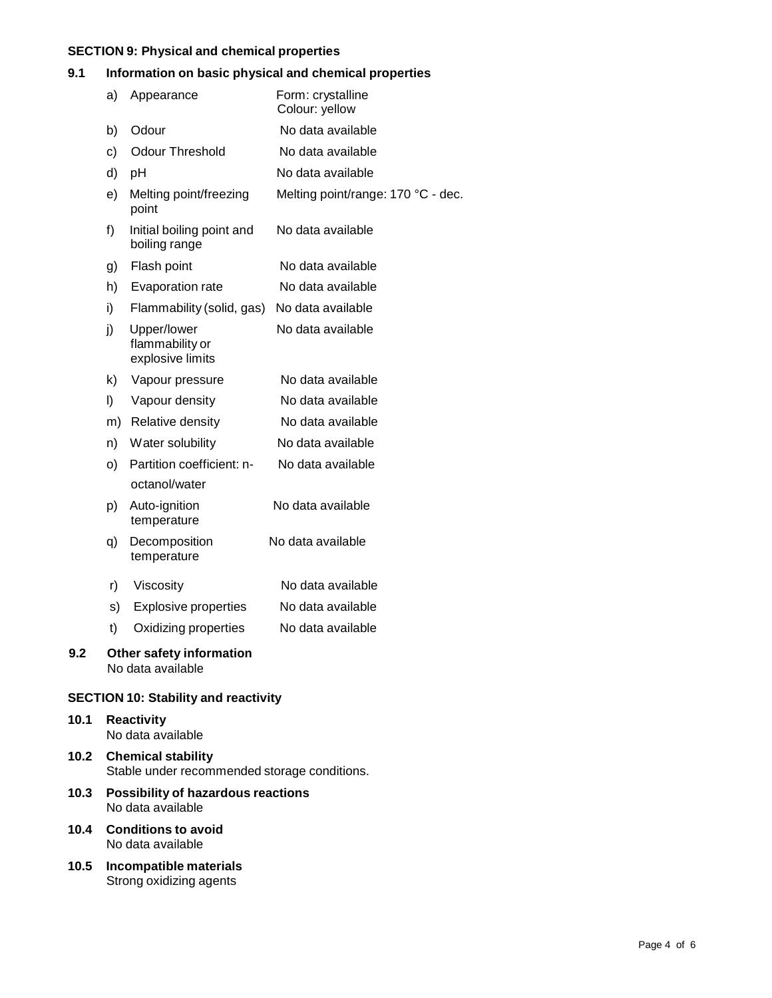# **SECTION 9: Physical and chemical properties**

# **9.1 Information on basic physical and chemical properties**

|                                               | a) | Appearance                                         | Form: crystalline<br>Colour: yellow |  |  |
|-----------------------------------------------|----|----------------------------------------------------|-------------------------------------|--|--|
|                                               | b) | Odour                                              | No data available                   |  |  |
|                                               | c) | <b>Odour Threshold</b>                             | No data available                   |  |  |
|                                               | d) | pH                                                 | No data available                   |  |  |
|                                               | e) | Melting point/freezing<br>point                    | Melting point/range: 170 °C - dec.  |  |  |
|                                               | f) | Initial boiling point and<br>boiling range         | No data available                   |  |  |
|                                               | g) | Flash point                                        | No data available                   |  |  |
|                                               | h) | Evaporation rate                                   | No data available                   |  |  |
|                                               | i) | Flammability (solid, gas)                          | No data available                   |  |  |
|                                               | j) | Upper/lower<br>flammability or<br>explosive limits | No data available                   |  |  |
|                                               | k) | Vapour pressure                                    | No data available                   |  |  |
|                                               | I) | Vapour density                                     | No data available                   |  |  |
|                                               | m) | Relative density                                   | No data available                   |  |  |
|                                               | n) | Water solubility                                   | No data available                   |  |  |
|                                               | o) | Partition coefficient: n-                          | No data available                   |  |  |
|                                               |    | octanol/water                                      |                                     |  |  |
|                                               | p) | Auto-ignition<br>temperature                       | No data available                   |  |  |
|                                               | q) | Decomposition<br>temperature                       | No data available                   |  |  |
|                                               | r) | Viscosity                                          | No data available                   |  |  |
|                                               | s) | <b>Explosive properties</b>                        | No data available                   |  |  |
|                                               | t) | Oxidizing properties                               | No data available                   |  |  |
| Other safety information<br>No data available |    |                                                    |                                     |  |  |

# **SECTION 10: Stability and reactivity**

# **10.1 Reactivity** No data available

**9.2 Other safety information**

- **10.2 Chemical stability** Stable under recommended storage conditions.
- **10.3 Possibility of hazardous reactions** No data available
- **10.4 Conditions to avoid** No data available
- **10.5 Incompatible materials** Strong oxidizing agents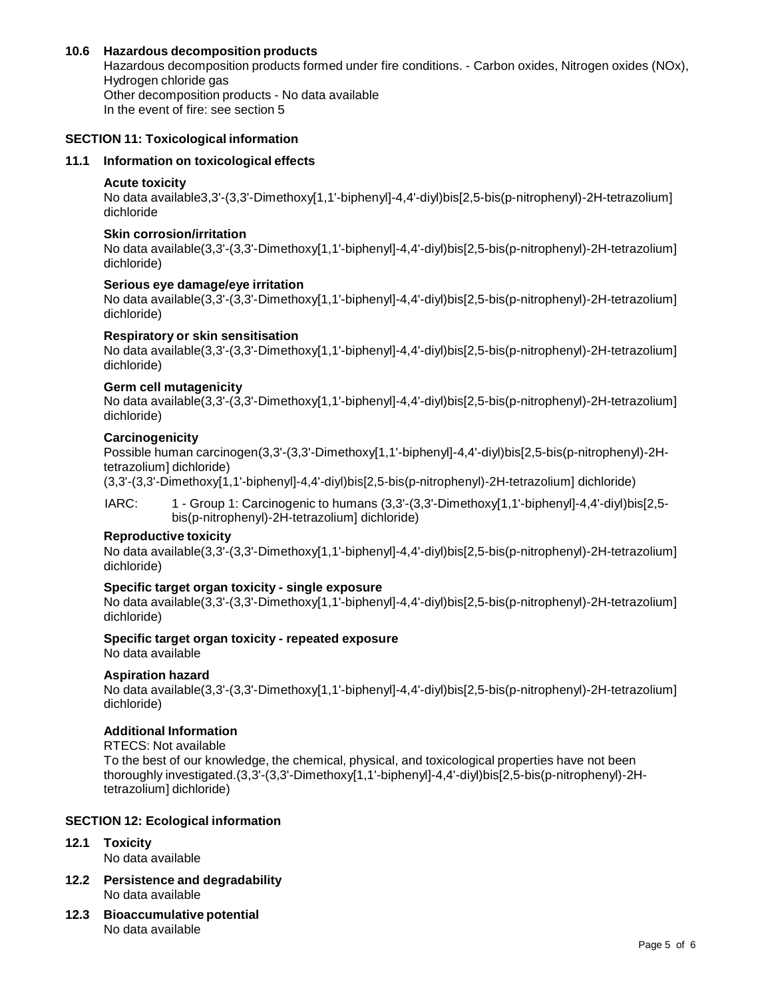#### **10.6 Hazardous decomposition products**

Hazardous decomposition products formed under fire conditions. - Carbon oxides, Nitrogen oxides (NOx), Hydrogen chloride gas Other decomposition products - No data available In the event of fire: see section 5

# **SECTION 11: Toxicological information**

### **11.1 Information on toxicological effects**

#### **Acute toxicity**

No data available3,3'-(3,3'-Dimethoxy[1,1'-biphenyl]-4,4'-diyl)bis[2,5-bis(p-nitrophenyl)-2H-tetrazolium] dichloride

#### **Skin corrosion/irritation**

No data available(3,3'-(3,3'-Dimethoxy[1,1'-biphenyl]-4,4'-diyl)bis[2,5-bis(p-nitrophenyl)-2H-tetrazolium] dichloride)

#### **Serious eye damage/eye irritation**

No data available(3,3'-(3,3'-Dimethoxy[1,1'-biphenyl]-4,4'-diyl)bis[2,5-bis(p-nitrophenyl)-2H-tetrazolium] dichloride)

#### **Respiratory or skin sensitisation**

No data available(3,3'-(3,3'-Dimethoxy[1,1'-biphenyl]-4,4'-diyl)bis[2,5-bis(p-nitrophenyl)-2H-tetrazolium] dichloride)

#### **Germ cell mutagenicity**

No data available(3,3'-(3,3'-Dimethoxy[1,1'-biphenyl]-4,4'-diyl)bis[2,5-bis(p-nitrophenyl)-2H-tetrazolium] dichloride)

#### **Carcinogenicity**

Possible human carcinogen(3,3'-(3,3'-Dimethoxy[1,1'-biphenyl]-4,4'-diyl)bis[2,5-bis(p-nitrophenyl)-2Htetrazolium] dichloride)

(3,3'-(3,3'-Dimethoxy[1,1'-biphenyl]-4,4'-diyl)bis[2,5-bis(p-nitrophenyl)-2H-tetrazolium] dichloride)

IARC: 1 - Group 1: Carcinogenic to humans (3,3'-(3,3'-Dimethoxy[1,1'-biphenyl]-4,4'-diyl)bis[2,5 bis(p-nitrophenyl)-2H-tetrazolium] dichloride)

#### **Reproductive toxicity**

No data available(3,3'-(3,3'-Dimethoxy[1,1'-biphenyl]-4,4'-diyl)bis[2,5-bis(p-nitrophenyl)-2H-tetrazolium] dichloride)

#### **Specific target organ toxicity - single exposure**

No data available(3,3'-(3,3'-Dimethoxy[1,1'-biphenyl]-4,4'-diyl)bis[2,5-bis(p-nitrophenyl)-2H-tetrazolium] dichloride)

# **Specific target organ toxicity - repeated exposure**

No data available

#### **Aspiration hazard**

No data available(3,3'-(3,3'-Dimethoxy[1,1'-biphenyl]-4,4'-diyl)bis[2,5-bis(p-nitrophenyl)-2H-tetrazolium] dichloride)

### **Additional Information**

#### RTECS: Not available

To the best of our knowledge, the chemical, physical, and toxicological properties have not been thoroughly investigated.(3,3'-(3,3'-Dimethoxy[1,1'-biphenyl]-4,4'-diyl)bis[2,5-bis(p-nitrophenyl)-2Htetrazolium] dichloride)

### **SECTION 12: Ecological information**

#### **12.1 Toxicity**

No data available

- **12.2 Persistence and degradability** No data available
- **12.3 Bioaccumulative potential** No data available